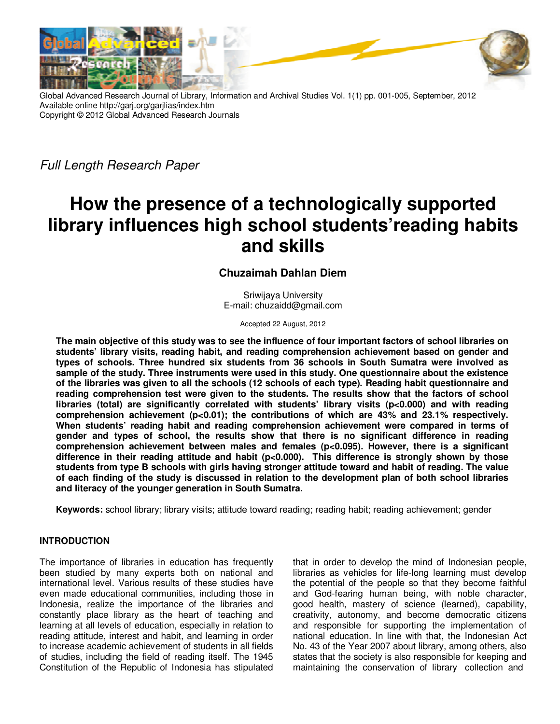

Global Advanced Research Journal of Library, Information and Archival Studies Vol. 1(1) pp. 001-005, September, 2012 Available online http://garj.org/garjlias/index.htm Copyright © 2012 Global Advanced Research Journals

*Full Length Research Paper* 

# **How the presence of a technologically supported library influences high school students'reading habits and skills**

# **Chuzaimah Dahlan Diem**

Sriwijaya University E-mail: chuzaidd@gmail.com

Accepted 22 August, 2012

**The main objective of this study was to see the influence of four important factors of school libraries on students' library visits, reading habit, and reading comprehension achievement based on gender and types of schools. Three hundred six students from 36 schools in South Sumatra were involved as sample of the study. Three instruments were used in this study. One questionnaire about the existence of the libraries was given to all the schools (12 schools of each type). Reading habit questionnaire and reading comprehension test were given to the students. The results show that the factors of school libraries (total) are significantly correlated with students' library visits (p<0.000) and with reading comprehension achievement (p<0.01); the contributions of which are 43% and 23.1% respectively. When students' reading habit and reading comprehension achievement were compared in terms of gender and types of school, the results show that there is no significant difference in reading comprehension achievement between males and females (p<0.095). However, there is a significant difference in their reading attitude and habit (p<0.000). This difference is strongly shown by those students from type B schools with girls having stronger attitude toward and habit of reading. The value of each finding of the study is discussed in relation to the development plan of both school libraries and literacy of the younger generation in South Sumatra.** 

**Keywords:** school library; library visits; attitude toward reading; reading habit; reading achievement; gender

# **INTRODUCTION**

The importance of libraries in education has frequently been studied by many experts both on national and international level. Various results of these studies have even made educational communities, including those in Indonesia, realize the importance of the libraries and constantly place library as the heart of teaching and learning at all levels of education, especially in relation to reading attitude, interest and habit, and learning in order to increase academic achievement of students in all fields of studies, including the field of reading itself. The 1945 Constitution of the Republic of Indonesia has stipulated

that in order to develop the mind of Indonesian people, libraries as vehicles for life-long learning must develop the potential of the people so that they become faithful and God-fearing human being, with noble character, good health, mastery of science (learned), capability, creativity, autonomy, and become democratic citizens and responsible for supporting the implementation of national education. In line with that, the Indonesian Act No. 43 of the Year 2007 about library, among others, also states that the society is also responsible for keeping and maintaining the conservation of library collection and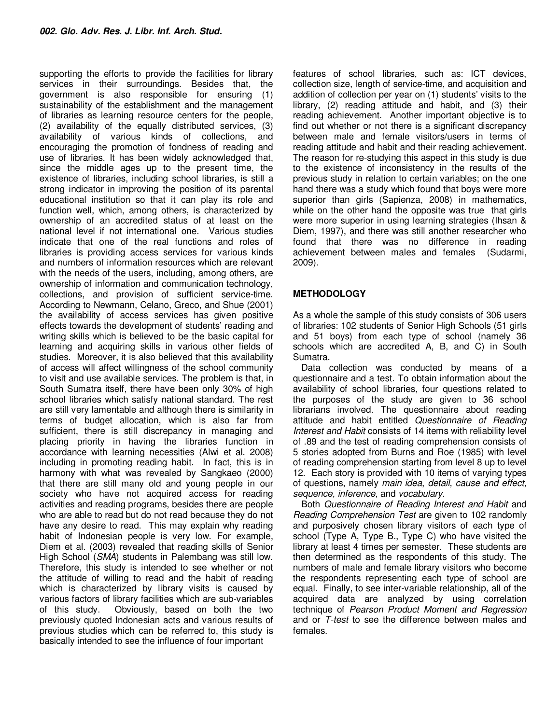supporting the efforts to provide the facilities for library services in their surroundings. Besides that, the government is also responsible for ensuring (1) sustainability of the establishment and the management of libraries as learning resource centers for the people, (2) availability of the equally distributed services, (3) availability of various kinds of collections, and encouraging the promotion of fondness of reading and use of libraries. It has been widely acknowledged that, since the middle ages up to the present time, the existence of libraries, including school libraries, is still a strong indicator in improving the position of its parental educational institution so that it can play its role and function well, which, among others, is characterized by ownership of an accredited status of at least on the national level if not international one. Various studies indicate that one of the real functions and roles of libraries is providing access services for various kinds and numbers of information resources which are relevant with the needs of the users, including, among others, are ownership of information and communication technology, collections, and provision of sufficient service-time. According to Newmann, Celano, Greco, and Shue (2001) the availability of access services has given positive effects towards the development of students' reading and writing skills which is believed to be the basic capital for learning and acquiring skills in various other fields of studies. Moreover, it is also believed that this availability of access will affect willingness of the school community to visit and use available services. The problem is that, in South Sumatra itself, there have been only 30% of high school libraries which satisfy national standard. The rest are still very lamentable and although there is similarity in terms of budget allocation, which is also far from sufficient, there is still discrepancy in managing and placing priority in having the libraries function in accordance with learning necessities (Alwi et al. 2008) including in promoting reading habit. In fact, this is in harmony with what was revealed by Sangkaeo (2000) that there are still many old and young people in our society who have not acquired access for reading activities and reading programs, besides there are people who are able to read but do not read because they do not have any desire to read. This may explain why reading habit of Indonesian people is very low. For example, Diem et al. (2003) revealed that reading skills of Senior High School (*SMA*) students in Palembang was still low. Therefore, this study is intended to see whether or not the attitude of willing to read and the habit of reading which is characterized by library visits is caused by various factors of library facilities which are sub-variables of this study. Obviously, based on both the two previously quoted Indonesian acts and various results of previous studies which can be referred to, this study is basically intended to see the influence of four important

features of school libraries, such as: ICT devices, collection size, length of service-time, and acquisition and addition of collection per year on (1) students' visits to the library, (2) reading attitude and habit, and (3) their reading achievement. Another important objective is to find out whether or not there is a significant discrepancy between male and female visitors/users in terms of reading attitude and habit and their reading achievement. The reason for re-studying this aspect in this study is due to the existence of inconsistency in the results of the previous study in relation to certain variables; on the one hand there was a study which found that boys were more superior than girls (Sapienza, 2008) in mathematics, while on the other hand the opposite was true that girls were more superior in using learning strategies (Ihsan & Diem, 1997), and there was still another researcher who found that there was no difference in reading achievement between males and females (Sudarmi, 2009).

# **METHODOLOGY**

As a whole the sample of this study consists of 306 users of libraries: 102 students of Senior High Schools (51 girls and 51 boys) from each type of school (namely 36 schools which are accredited A, B, and C) in South Sumatra.

Data collection was conducted by means of a questionnaire and a test. To obtain information about the availability of school libraries, four questions related to the purposes of the study are given to 36 school librarians involved. The questionnaire about reading attitude and habit entitled *Questionnaire of Reading Interest and Habit* consists of 14 items with reliability level of .89 and the test of reading comprehension consists of 5 stories adopted from Burns and Roe (1985) with level of reading comprehension starting from level 8 up to level 12. Each story is provided with 10 items of varying types of questions, namely *main idea*, *detail, cause and effect, sequence, inference*, and *vocabulary*.

Both *Questionnaire of Reading Interest and Habit* and *Reading Comprehension Test* are given to 102 randomly and purposively chosen library visitors of each type of school (Type A, Type B., Type C) who have visited the library at least 4 times per semester. These students are then determined as the respondents of this study. The numbers of male and female library visitors who become the respondents representing each type of school are equal. Finally, to see inter-variable relationship, all of the acquired data are analyzed by using correlation technique of *Pearson Product Moment and Regression* and or *T-test* to see the difference between males and females.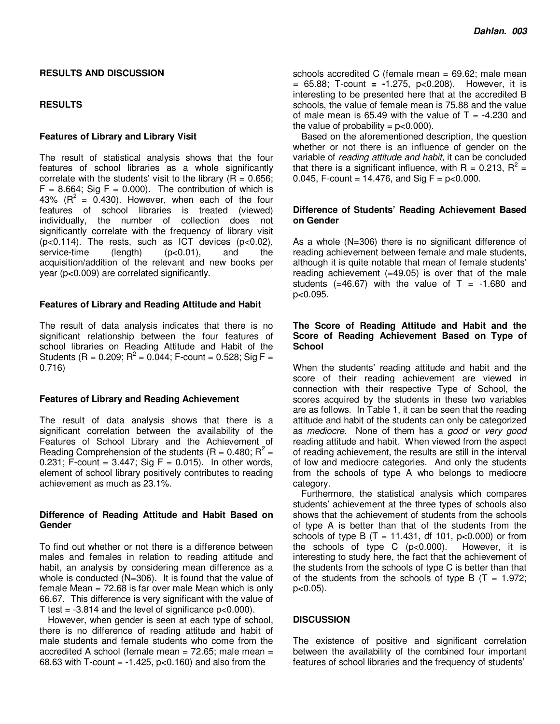### **RESULTS AND DISCUSSION**

# **RESULTS**

### **Features of Library and Library Visit**

The result of statistical analysis shows that the four features of school libraries as a whole significantly correlate with the students' visit to the library ( $R = 0.656$ ;  $F = 8.664$ ; Sig  $F = 0.000$ ). The contribution of which is 43% ( $R^2$  = 0.430). However, when each of the four features of school libraries is treated (viewed) individually, the number of collection does not significantly correlate with the frequency of library visit  $(p<0.114)$ . The rests, such as ICT devices  $(p<0.02)$ , service-time (length)  $(p<0.01)$ , and the service-time (length) (p<0.01), and the acquisition/addition of the relevant and new books per year (p<0.009) are correlated significantly.

# **Features of Library and Reading Attitude and Habit**

The result of data analysis indicates that there is no significant relationship between the four features of school libraries on Reading Attitude and Habit of the Students (R = 0.209;  $R^2$  = 0.044; F-count = 0.528; Sig F = 0.716)

# **Features of Library and Reading Achievement**

The result of data analysis shows that there is a significant correlation between the availability of the Features of School Library and the Achievement of Reading Comprehension of the students (R = 0.480;  $R^2$  = 0.231;  $\bar{F}$ -count = 3.447; Sig  $F = 0.015$ ). In other words, element of school library positively contributes to reading achievement as much as 23.1%.

# **Difference of Reading Attitude and Habit Based on Gender**

To find out whether or not there is a difference between males and females in relation to reading attitude and habit, an analysis by considering mean difference as a whole is conducted (N=306). It is found that the value of female Mean  $= 72.68$  is far over male Mean which is only 66.67. This difference is very significant with the value of T test =  $-3.814$  and the level of significance  $p<0.000$ ).

However, when gender is seen at each type of school, there is no difference of reading attitude and habit of male students and female students who come from the accredited A school (female mean = 72.65; male mean = 68.63 with T-count =  $-1.425$ , p<0.160) and also from the

schools accredited C (female mean = 69.62; male mean = 65.88; T-count **= -**1.275, p<0.208). However, it is interesting to be presented here that at the accredited B schools, the value of female mean is 75.88 and the value of male mean is 65.49 with the value of  $T = -4.230$  and the value of probability =  $p<0.000$ ).

Based on the aforementioned description, the question whether or not there is an influence of gender on the variable of *reading attitude and habit*, it can be concluded that there is a significant influence, with R = 0.213,  $R^2$  = 0.045, F-count = 14.476, and Sig  $F = p < 0.000$ .

### **Difference of Students' Reading Achievement Based on Gender**

As a whole (N=306) there is no significant difference of reading achievement between female and male students, although it is quite notable that mean of female students' reading achievement  $(=49.05)$  is over that of the male students (=46.67) with the value of  $T = -1.680$  and p<0.095.

## **The Score of Reading Attitude and Habit and the Score of Reading Achievement Based on Type of School**

When the students' reading attitude and habit and the score of their reading achievement are viewed in connection with their respective Type of School, the scores acquired by the students in these two variables are as follows. In Table 1, it can be seen that the reading attitude and habit of the students can only be categorized as *mediocre.* None of them has a *good* or *very good* reading attitude and habit. When viewed from the aspect of reading achievement, the results are still in the interval of low and mediocre categories. And only the students from the schools of type A who belongs to mediocre category.

Furthermore, the statistical analysis which compares students' achievement at the three types of schools also shows that the achievement of students from the schools of type A is better than that of the students from the schools of type B  $(T = 11.431, df 101, p<0.000)$  or from the schools of type C (p<0.000). However, it is interesting to study here, the fact that the achievement of the students from the schools of type C is better than that of the students from the schools of type B  $(T = 1.972;$ p<0.05).

# **DISCUSSION**

The existence of positive and significant correlation between the availability of the combined four important features of school libraries and the frequency of students'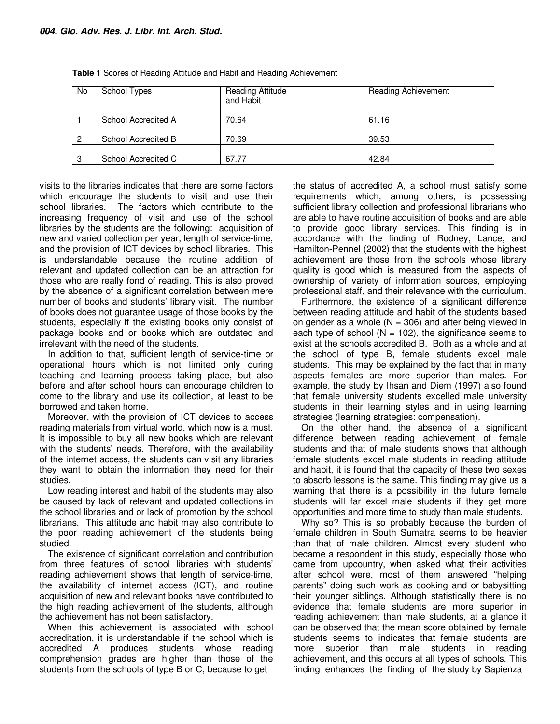| No | School Types        | <b>Reading Attitude</b><br>and Habit | <b>Reading Achievement</b> |
|----|---------------------|--------------------------------------|----------------------------|
|    | School Accredited A | 70.64                                | 61.16                      |
| 2  | School Accredited B | 70.69                                | 39.53                      |
| વ  | School Accredited C | 67.77                                | 42.84                      |

**Table 1** Scores of Reading Attitude and Habit and Reading Achievement

visits to the libraries indicates that there are some factors which encourage the students to visit and use their school libraries. The factors which contribute to the increasing frequency of visit and use of the school libraries by the students are the following: acquisition of new and varied collection per year, length of service-time, and the provision of ICT devices by school libraries. This is understandable because the routine addition of relevant and updated collection can be an attraction for those who are really fond of reading. This is also proved by the absence of a significant correlation between mere number of books and students' library visit. The number of books does not guarantee usage of those books by the students, especially if the existing books only consist of package books and or books which are outdated and irrelevant with the need of the students.

In addition to that, sufficient length of service-time or operational hours which is not limited only during teaching and learning process taking place, but also before and after school hours can encourage children to come to the library and use its collection, at least to be borrowed and taken home.

Moreover, with the provision of ICT devices to access reading materials from virtual world, which now is a must. It is impossible to buy all new books which are relevant with the students' needs. Therefore, with the availability of the internet access, the students can visit any libraries they want to obtain the information they need for their studies.

Low reading interest and habit of the students may also be caused by lack of relevant and updated collections in the school libraries and or lack of promotion by the school librarians. This attitude and habit may also contribute to the poor reading achievement of the students being studied.

The existence of significant correlation and contribution from three features of school libraries with students' reading achievement shows that length of service-time, the availability of internet access (ICT), and routine acquisition of new and relevant books have contributed to the high reading achievement of the students, although the achievement has not been satisfactory.

When this achievement is associated with school accreditation, it is understandable if the school which is accredited A produces students whose reading comprehension grades are higher than those of the students from the schools of type B or C, because to get

the status of accredited A, a school must satisfy some requirements which, among others, is possessing sufficient library collection and professional librarians who are able to have routine acquisition of books and are able to provide good library services. This finding is in accordance with the finding of Rodney, Lance, and Hamilton-Pennel (2002) that the students with the highest achievement are those from the schools whose library quality is good which is measured from the aspects of ownership of variety of information sources, employing professional staff, and their relevance with the curriculum.

Furthermore, the existence of a significant difference between reading attitude and habit of the students based on gender as a whole ( $N = 306$ ) and after being viewed in each type of school ( $N = 102$ ), the significance seems to exist at the schools accredited B. Both as a whole and at the school of type B, female students excel male students. This may be explained by the fact that in many aspects females are more superior than males. For example, the study by Ihsan and Diem (1997) also found that female university students excelled male university students in their learning styles and in using learning strategies (learning strategies: compensation).

On the other hand, the absence of a significant difference between reading achievement of female students and that of male students shows that although female students excel male students in reading attitude and habit, it is found that the capacity of these two sexes to absorb lessons is the same. This finding may give us a warning that there is a possibility in the future female students will far excel male students if they get more opportunities and more time to study than male students.

Why so? This is so probably because the burden of female children in South Sumatra seems to be heavier than that of male children. Almost every student who became a respondent in this study, especially those who came from upcountry, when asked what their activities after school were, most of them answered "helping parents" doing such work as cooking and or babysitting their younger siblings. Although statistically there is no evidence that female students are more superior in reading achievement than male students, at a glance it can be observed that the mean score obtained by female students seems to indicates that female students are more superior than male students in reading achievement, and this occurs at all types of schools. This finding enhances the finding of the study by Sapienza